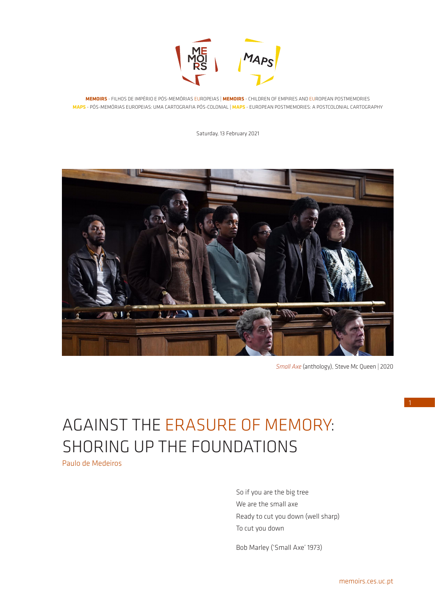

**MEMOIRS** - FILHOS DE IMPÉRIO E PÓS-MEMÓRIAS EUROPEIAS | **MEMOIRS** - CHILDREN OF EMPIRES AND EUROPEAN POSTMEMORIES **MAPS** - PÓS-MEMÓRIAS EUROPEIAS: UMA CARTOGRAFIA PÓS-COLONIAL | **MAPS** - EUROPEAN POSTMEMORIES: A POSTCOLONIAL CARTOGRAPHY

Saturday, 13 February 2021



*Small Axe* (anthology), Steve Mc Queen | 2020

# AGAINST THE ERASURE OF MEMORY: SHORING UP THE FOUNDATIONS

Paulo de Medeiros

So if you are the big tree We are the small axe Ready to cut you down (well sharp) To cut you down

Bob Marley ('Small Axe' 1973)

1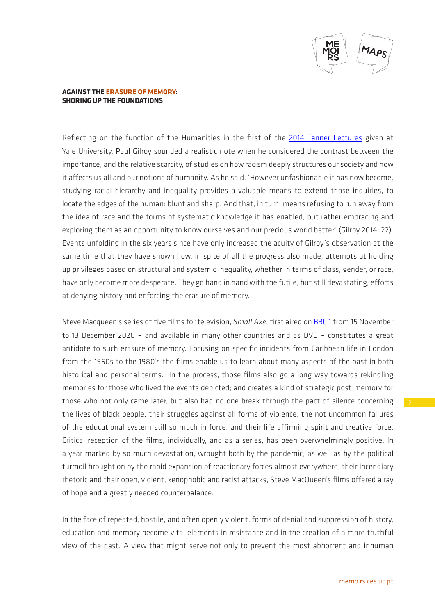

Reflecting on the function of the Humanities in the first of the [2014 Tanner Lectures](https://tannerlectures.utah.edu/Gilroy%20manuscript%20PDF.pdf) given at Yale University, Paul Gilroy sounded a realistic note when he considered the contrast between the importance, and the relative scarcity, of studies on how racism deeply structures our society and how it affects us all and our notions of humanity. As he said, 'However unfashionable it has now become, studying racial hierarchy and inequality provides a valuable means to extend those inquiries, to locate the edges of the human: blunt and sharp. And that, in turn, means refusing to run away from the idea of race and the forms of systematic knowledge it has enabled, but rather embracing and exploring them as an opportunity to know ourselves and our precious world better' (Gilroy 2014: 22). Events unfolding in the six years since have only increased the acuity of Gilroy's observation at the same time that they have shown how, in spite of all the progress also made, attempts at holding up privileges based on structural and systemic inequality, whether in terms of class, gender, or race, have only become more desperate. They go hand in hand with the futile, but still devastating, efforts at denying history and enforcing the erasure of memory.

Steve Macqueen's series of five films for television, *Small Axe*, first aired on [BBC 1](https://www.bbc.co.uk/programmes/p08vxt33) from 15 November to 13 December 2020 – and available in many other countries and as DVD – constitutes a great antidote to such erasure of memory. Focusing on specific incidents from Caribbean life in London from the 1960s to the 1980's the films enable us to learn about many aspects of the past in both historical and personal terms. In the process, those films also go a long way towards rekindling memories for those who lived the events depicted; and creates a kind of strategic post-memory for those who not only came later, but also had no one break through the pact of silence concerning the lives of black people, their struggles against all forms of violence, the not uncommon failures of the educational system still so much in force, and their life affirming spirit and creative force. Critical reception of the films, individually, and as a series, has been overwhelmingly positive. In a year marked by so much devastation, wrought both by the pandemic, as well as by the political turmoil brought on by the rapid expansion of reactionary forces almost everywhere, their incendiary rhetoric and their open, violent, xenophobic and racist attacks, Steve MacQueen's films offered a ray of hope and a greatly needed counterbalance.

In the face of repeated, hostile, and often openly violent, forms of denial and suppression of history, education and memory become vital elements in resistance and in the creation of a more truthful view of the past. A view that might serve not only to prevent the most abhorrent and inhuman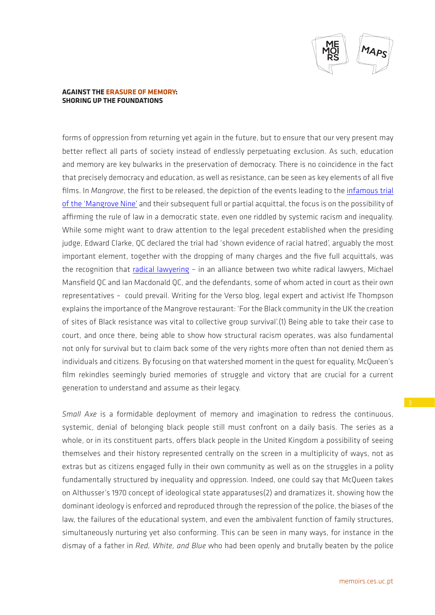

forms of oppression from returning yet again in the future, but to ensure that our very present may better reflect all parts of society instead of endlessly perpetuating exclusion. As such, education and memory are key bulwarks in the preservation of democracy. There is no coincidence in the fact that precisely democracy and education, as well as resistance, can be seen as key elements of all five films. In *Mangrove*, the first to be released, the depiction of the events leading to the [infamous trial](https://www.georgepadmoreinstitute.org/Mangrove%20Nine)  [of the 'Mangrove Nine'](https://www.georgepadmoreinstitute.org/Mangrove%20Nine) and their subsequent full or partial acquittal, the focus is on the possibility of affirming the rule of law in a democratic state, even one riddled by systemic racism and inequality. While some might want to draw attention to the legal precedent established when the presiding judge, Edward Clarke, QC declared the trial had 'shown evidence of racial hatred', arguably the most important element, together with the dropping of many charges and the five full acquittals, was the recognition that [radical lawyering](https://www.versobooks.com/blogs/4920-the-mangrove-9-and-the-radical-lawyering-tradition) – in an alliance between two white radical lawyers, Michael Mansfield QC and Ian Macdonald QC, and the defendants, some of whom acted in court as their own representatives – could prevail. Writing for the Verso blog, legal expert and activist Ife Thompson explains the importance of the Mangrove restaurant: 'For the Black community in the UK the creation of sites of Black resistance was vital to collective group survival'.(1) Being able to take their case to court, and once there, being able to show how structural racism operates, was also fundamental not only for survival but to claim back some of the very rights more often than not denied them as individuals and citizens. By focusing on that watershed moment in the quest for equality, McQueen's film rekindles seemingly buried memories of struggle and victory that are crucial for a current generation to understand and assume as their legacy.

*Small Axe* is a formidable deployment of memory and imagination to redress the continuous, systemic, denial of belonging black people still must confront on a daily basis. The series as a whole, or in its constituent parts, offers black people in the United Kingdom a possibility of seeing themselves and their history represented centrally on the screen in a multiplicity of ways, not as extras but as citizens engaged fully in their own community as well as on the struggles in a polity fundamentally structured by inequality and oppression. Indeed, one could say that McQueen takes on Althusser's 1970 concept of ideological state apparatuses(2) and dramatizes it, showing how the dominant ideology is enforced and reproduced through the repression of the police, the biases of the law, the failures of the educational system, and even the ambivalent function of family structures, simultaneously nurturing yet also conforming. This can be seen in many ways, for instance in the dismay of a father in *Red, White, and Blue* who had been openly and brutally beaten by the police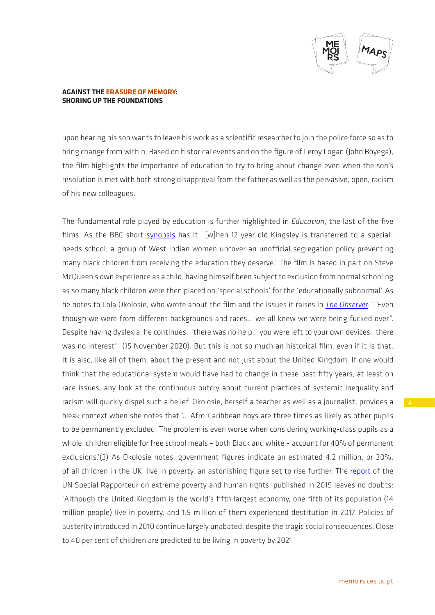

upon hearing his son wants to leave his work as a scientific researcher to join the police force so as to bring change from within. Based on historical events and on the figure of Leroy Logan (John Boyega), the film highlights the importance of education to try to bring about change even when the son's resolution is met with both strong disapproval from the father as well as the pervasive, open, racism of his new colleagues.

The fundamental role played by education is further highlighted in *Education*, the last of the five films. As the BBC short [synopsis](https://www.bbc.co.uk/iplayer/episode/m000qfb1/small-axe-series-1-education) has it, '[w]hen 12-year-old Kingsley is transferred to a specialneeds school, a group of West Indian women uncover an unofficial segregation policy preventing many black children from receiving the education they deserve.' The film is based in part on Steve McQueen's own experience as a child, having himself been subject to exclusion from normal schooling as so many black children were then placed on 'special schools' for the 'educationally subnormal'. As he notes to Lola Okolosie, who wrote about the film and the issues it raises in *[The Observer](https://www.theguardian.com/education/2020/nov/15/discrimination-at-school-is-a-black-british-history-lesson-repeating-itself-small-axe-education-steve-mcqueen)*: '"Even though we were from different backgrounds and races… we all knew we were being fucked over". Despite having dyslexia, he continues, "there was no help… you were left to your own devices…there was no interest"' (15 November 2020). But this is not so much an historical film, even if it is that. It is also, like all of them, about the present and not just about the United Kingdom. If one would think that the educational system would have had to change in these past fifty years, at least on race issues, any look at the continuous outcry about current practices of systemic inequality and racism will quickly dispel such a belief. Okolosie, herself a teacher as well as a journalist, provides a bleak context when she notes that '… Afro-Caribbean boys are three times as likely as other pupils to be permanently excluded. The problem is even worse when considering working-class pupils as a whole: children eligible for free school meals – both Black and white – account for 40% of permanent exclusions.'(3) As Okolosie notes, government figures indicate an estimated 4.2 million, or 30%, of all children in the UK, live in poverty, an astonishing figure set to rise further. The [report](https://documents-dds-ny.un.org/doc/UNDOC/GEN/G19/112/13/PDF/G1911213.pdf?OpenElement) of the UN Special Rapporteur on extreme poverty and human rights, published in 2019 leaves no doubts: 'Although the United Kingdom is the world's fifth largest economy, one fifth of its population (14 million people) live in poverty, and 1.5 million of them experienced destitution in 2017. Policies of austerity introduced in 2010 continue largely unabated, despite the tragic social consequences. Close to 40 per cent of children are predicted to be living in poverty by 2021.'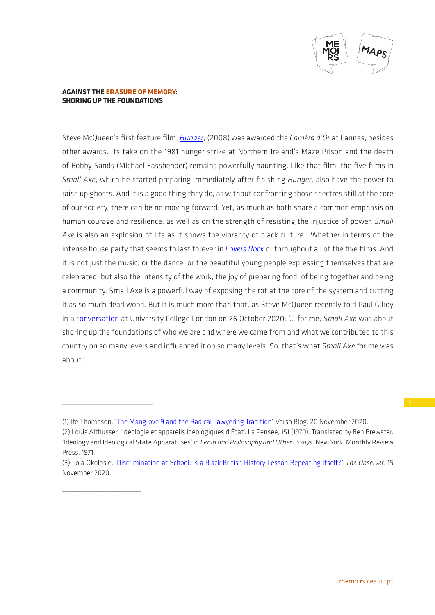

\_\_\_\_\_\_\_\_\_\_\_\_\_\_\_\_\_\_\_\_\_\_\_\_\_

\_\_\_\_\_\_\_\_\_\_\_\_\_\_\_\_\_\_\_\_\_\_\_\_\_

Steve McQueen's first feature film, *[Hunger](https://www.criterion.com/films/477-hunger)*, (2008) was awarded the *Caméra d'Or* at Cannes, besides other awards. Its take on the 1981 hunger strike at Northern Ireland's Maze Prison and the death of Bobby Sands (Michael Fassbender) remains powerfully haunting. Like that film, the five films in *Small Axe*, which he started preparing immediately after finishing *Hunger*, also have the power to raise up ghosts. And it is a good thing they do, as without confronting those spectres still at the core of our society, there can be no moving forward. Yet, as much as both share a common emphasis on human courage and resilience, as well as on the strength of resisting the injustice of power, *Small Axe* is also an explosion of life as it shows the vibrancy of black culture. Whether in terms of the intense house party that seems to last forever in *[Lovers Rock](https://www.bbc.co.uk/programmes/m000prjp)* or throughout all of the five films. And it is not just the music, or the dance, or the beautiful young people expressing themselves that are celebrated, but also the intensity of the work, the joy of preparing food, of being together and being a community. Small Axe is a powerful way of exposing the rot at the core of the system and cutting it as so much dead wood. But it is much more than that, as Steve McQueen recently told Paul Gilroy in a [conversation](https://www.ucl.ac.uk/racism-racialisation/transcript-conversation-steve-mcqueen) at University College London on 26 October 2020: '… for me, *Small Axe* was about shoring up the foundations of who we are and where we came from and what we contributed to this country on so many levels and influenced it on so many levels. So, that's what *Small Axe* for me was about.'

<sup>(1)</sup> Ife Thompson. '[The Mangrove 9 and the Radical Lawyering Tradition'](https://www.versobooks.com/blogs/4920-the-mangrove-9-and-the-radical-lawyering-tradition). Verso Blog, 20 November 2020..

<sup>(2)</sup> Louis Althusser. 'Idéologie et appareils idéologiques d'État'. La Pensée, 151 (1970). Translated by Ben Brewster. 'Ideology and Ideological State Apparatuses' in *Lenin and Philosophy and Other Essays*. New York: Monthly Review Press, 1971.

<sup>(3)</sup> Lola Okolosie. ['Discrimination at School: is a Black British History Lesson Repeating Itself?'](https://www.theguardian.com/education/2020/nov/15/discrimination-at-school-is-a-black-british-history-lesson-repeating-itself-small-axe-education-steve-mcqueen). *The Observer*. 15 November 2020.